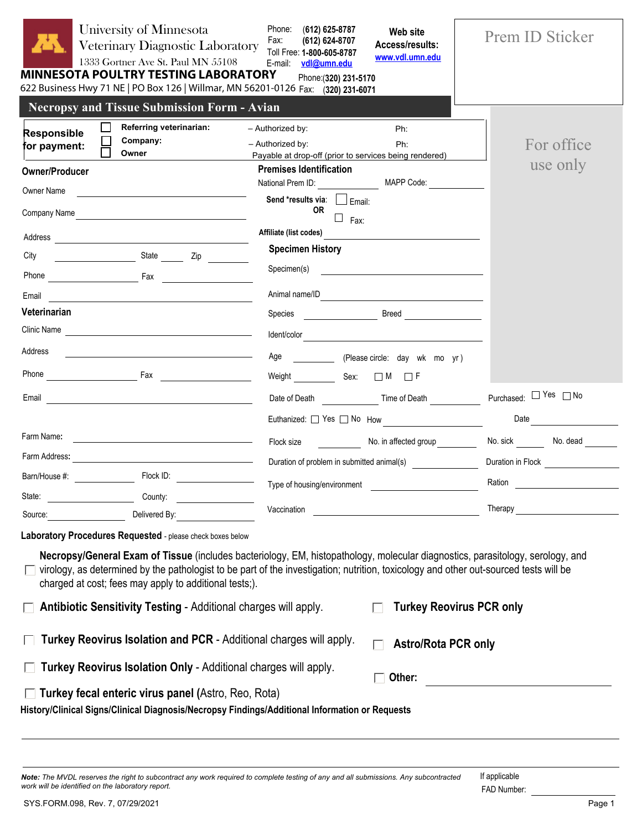| University of Minnesota<br>Veterinary Diagnostic Laboratory<br>1333 Gortner Ave St. Paul MN 55108<br><b>MINNESOTA POULTRY TESTING LABORATORY</b><br>622 Business Hwy 71 NE   PO Box 126   Willmar, MN 56201-0126 Fax: (320) 231-6071                                                  | Phone:<br>(612) 625-8787<br>Web site<br>Fax:<br>(612) 624-8707<br>Access/results:<br>Toll Free: 1-800-605-8787<br>www.vdl.umn.edu<br>vdl@umn.edu<br>E-mail:<br>Phone: (320) 231-5170                                                                                                                                                               | Prem ID Sticker       |
|---------------------------------------------------------------------------------------------------------------------------------------------------------------------------------------------------------------------------------------------------------------------------------------|----------------------------------------------------------------------------------------------------------------------------------------------------------------------------------------------------------------------------------------------------------------------------------------------------------------------------------------------------|-----------------------|
| <b>Necropsy and Tissue Submission Form - Avian</b>                                                                                                                                                                                                                                    |                                                                                                                                                                                                                                                                                                                                                    |                       |
| <b>Referring veterinarian:</b><br><b>Responsible</b><br>Company:<br>for payment:<br>Owner                                                                                                                                                                                             | - Authorized by:<br>Ph:<br>- Authorized by:<br>Ph:<br>Payable at drop-off (prior to services being rendered)                                                                                                                                                                                                                                       | For office            |
| <b>Owner/Producer</b>                                                                                                                                                                                                                                                                 | <b>Premises Identification</b>                                                                                                                                                                                                                                                                                                                     | use only              |
| Owner Name<br><u> 1989 - Andrea Station, amerikansk politik (</u>                                                                                                                                                                                                                     | National Prem ID:<br>MAPP Code:<br>Send *results via:<br>$\Box$ Email:                                                                                                                                                                                                                                                                             |                       |
| Company Name                                                                                                                                                                                                                                                                          | 0R<br>$\Box$ Fax:                                                                                                                                                                                                                                                                                                                                  |                       |
| Address                                                                                                                                                                                                                                                                               | Affiliate (list codes)                                                                                                                                                                                                                                                                                                                             |                       |
| City<br>State <u>Zip</u>                                                                                                                                                                                                                                                              | <b>Specimen History</b>                                                                                                                                                                                                                                                                                                                            |                       |
|                                                                                                                                                                                                                                                                                       | Specimen(s)                                                                                                                                                                                                                                                                                                                                        |                       |
| Email                                                                                                                                                                                                                                                                                 | Animal name/ID                                                                                                                                                                                                                                                                                                                                     |                       |
| Veterinarian                                                                                                                                                                                                                                                                          | <b>Direction Server Server Server Server Server Server Server Server Server Server Server Server Server Server S</b><br>Species                                                                                                                                                                                                                    |                       |
| Clinic Name                                                                                                                                                                                                                                                                           |                                                                                                                                                                                                                                                                                                                                                    |                       |
| Address<br><u> 1989 - Johann Stein, mars and de Brazilian (b. 1989)</u>                                                                                                                                                                                                               | Age ______________ (Please circle: day wk mo yr)                                                                                                                                                                                                                                                                                                   |                       |
|                                                                                                                                                                                                                                                                                       | Weight Sex: □ M □ F                                                                                                                                                                                                                                                                                                                                |                       |
|                                                                                                                                                                                                                                                                                       | Date of Death Time of Death                                                                                                                                                                                                                                                                                                                        | Purchased: □ Yes □ No |
|                                                                                                                                                                                                                                                                                       | Euthanized: Yes No How 1999                                                                                                                                                                                                                                                                                                                        | Date <b>Date</b>      |
| Farm Name:<br><u> 1989 - Johann Barn, mars ann an t-Amhain Aonaich an t-Aonaich an t-Aonaich an t-Aonaich an t-Aonaich an t-Aon</u>                                                                                                                                                   | Flock size <b>Example 20</b>                                                                                                                                                                                                                                                                                                                       |                       |
| Farm Address:<br><u> 1989 - Jan Samuel Barbara, político establecente de la propia de la propia de la propia de la propia de la p</u>                                                                                                                                                 |                                                                                                                                                                                                                                                                                                                                                    |                       |
| Flock ID:<br>Barn/House #:                                                                                                                                                                                                                                                            | Duration of problem in submitted animal(s)                                                                                                                                                                                                                                                                                                         | Duration in Flock     |
| State:<br>County:                                                                                                                                                                                                                                                                     | Type of housing/environment                                                                                                                                                                                                                                                                                                                        | Ration                |
| Delivered By:<br>Source:                                                                                                                                                                                                                                                              | Vaccination<br><u> 1989 - Johann Barn, fransk politik amerikansk politik (</u>                                                                                                                                                                                                                                                                     | Therapy               |
| Laboratory Procedures Requested - please check boxes below                                                                                                                                                                                                                            |                                                                                                                                                                                                                                                                                                                                                    |                       |
| П<br>charged at cost; fees may apply to additional tests;).<br><b>Antibiotic Sensitivity Testing - Additional charges will apply.</b><br>Turkey Reovirus Isolation and PCR - Additional charges will apply.<br><b>Turkey Reovirus Isolation Only - Additional charges will apply.</b> | Necropsy/General Exam of Tissue (includes bacteriology, EM, histopathology, molecular diagnostics, parasitology, serology, and<br>virology, as determined by the pathologist to be part of the investigation; nutrition, toxicology and other out-sourced tests will be<br><b>Turkey Reovirus PCR only</b><br><b>Astro/Rota PCR only</b><br>Other: |                       |
| Turkey fecal enteric virus panel (Astro, Reo, Rota)<br>History/Clinical Signs/Clinical Diagnosis/Necropsy Findings/Additional Information or Requests                                                                                                                                 |                                                                                                                                                                                                                                                                                                                                                    |                       |

*Note: The MVDL reserves the right to subcontract any work required to complete testing of any and all submissions. Any subcontracted work will be identified on the laboratory report.* FAD Number: If applicable